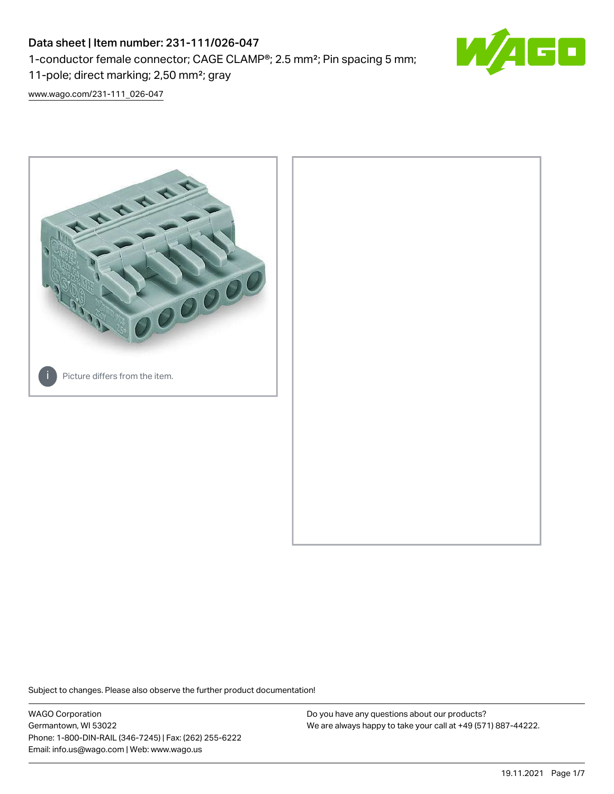# Data sheet | Item number: 231-111/026-047

1-conductor female connector; CAGE CLAMP®; 2.5 mm²; Pin spacing 5 mm;

11-pole; direct marking; 2,50 mm²; gray

[www.wago.com/231-111\\_026-047](http://www.wago.com/231-111_026-047)



Subject to changes. Please also observe the further product documentation!

WAGO Corporation Germantown, WI 53022 Phone: 1-800-DIN-RAIL (346-7245) | Fax: (262) 255-6222 Email: info.us@wago.com | Web: www.wago.us

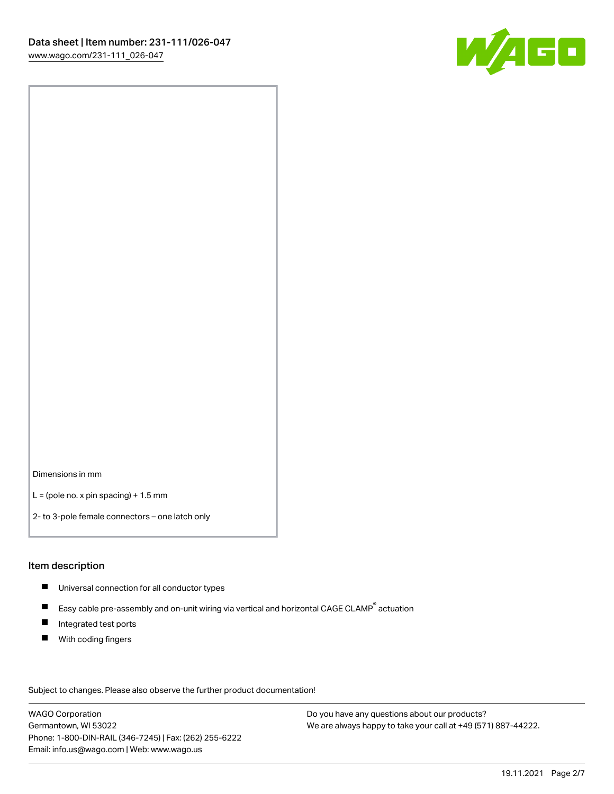

Dimensions in mm

 $L =$  (pole no. x pin spacing) + 1.5 mm

2- to 3-pole female connectors – one latch only

## Item description

- **Universal connection for all conductor types**
- Easy cable pre-assembly and on-unit wiring via vertical and horizontal CAGE CLAMP<sup>®</sup> actuation  $\blacksquare$
- $\blacksquare$ Integrated test ports
- $\blacksquare$ With coding fingers

Subject to changes. Please also observe the further product documentation! Data

WAGO Corporation Germantown, WI 53022 Phone: 1-800-DIN-RAIL (346-7245) | Fax: (262) 255-6222 Email: info.us@wago.com | Web: www.wago.us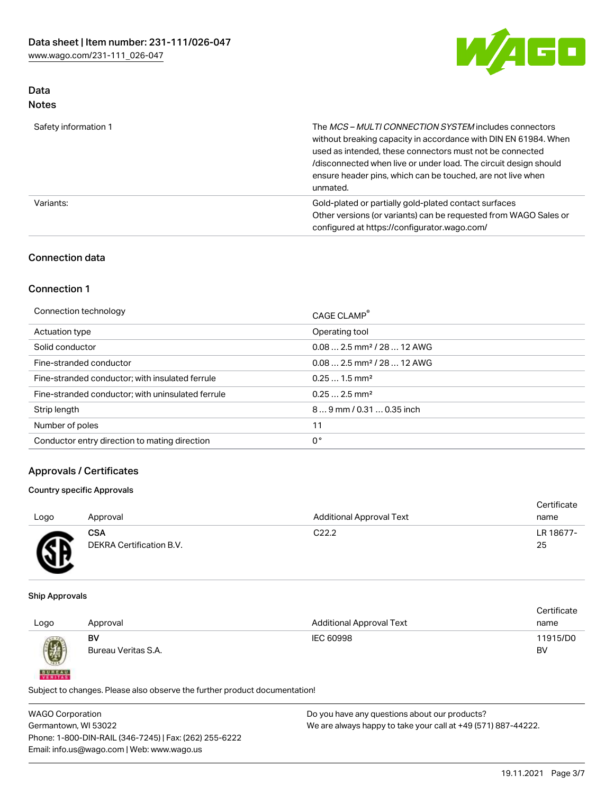

## Data Notes

| Safety information 1 | The MCS-MULTI CONNECTION SYSTEM includes connectors<br>without breaking capacity in accordance with DIN EN 61984. When<br>used as intended, these connectors must not be connected<br>/disconnected when live or under load. The circuit design should<br>ensure header pins, which can be touched, are not live when<br>unmated. |  |
|----------------------|-----------------------------------------------------------------------------------------------------------------------------------------------------------------------------------------------------------------------------------------------------------------------------------------------------------------------------------|--|
| Variants:            | Gold-plated or partially gold-plated contact surfaces<br>Other versions (or variants) can be requested from WAGO Sales or<br>configured at https://configurator.wago.com/                                                                                                                                                         |  |

# Connection data

## Connection 1

| Connection technology                             | CAGE CLAMP <sup>®</sup>                 |
|---------------------------------------------------|-----------------------------------------|
| Actuation type                                    | Operating tool                          |
| Solid conductor                                   | $0.08$ 2.5 mm <sup>2</sup> / 28  12 AWG |
| Fine-stranded conductor                           | $0.082.5$ mm <sup>2</sup> / 28  12 AWG  |
| Fine-stranded conductor; with insulated ferrule   | $0.251.5$ mm <sup>2</sup>               |
| Fine-stranded conductor; with uninsulated ferrule | $0.252.5$ mm <sup>2</sup>               |
| Strip length                                      | 89 mm / 0.31  0.35 inch                 |
| Number of poles                                   | 11                                      |
| Conductor entry direction to mating direction     | 0°                                      |

# Approvals / Certificates

## Country specific Approvals

| Logo         | Approval                 | <b>Additional Approval Text</b> | Certificate<br>name |
|--------------|--------------------------|---------------------------------|---------------------|
| $\mathbb{R}$ | <b>CSA</b>               | C <sub>22.2</sub>               | LR 18677-           |
| ≃            | DEKRA Certification B.V. |                                 | 25                  |

#### Ship Approvals

**BUREAU** 

| <b>Additional Approval Text</b><br>Logo<br>Approval<br>name | Certificate |
|-------------------------------------------------------------|-------------|
|                                                             |             |
| 11915/D0<br>BV<br>IEC 60998                                 |             |
| Ø<br>Bureau Veritas S.A.<br>BV                              |             |

Subject to changes. Please also observe the further product documentation!

WAGO Corporation Germantown, WI 53022 Phone: 1-800-DIN-RAIL (346-7245) | Fax: (262) 255-6222 Email: info.us@wago.com | Web: www.wago.us Do you have any questions about our products? We are always happy to take your call at +49 (571) 887-44222.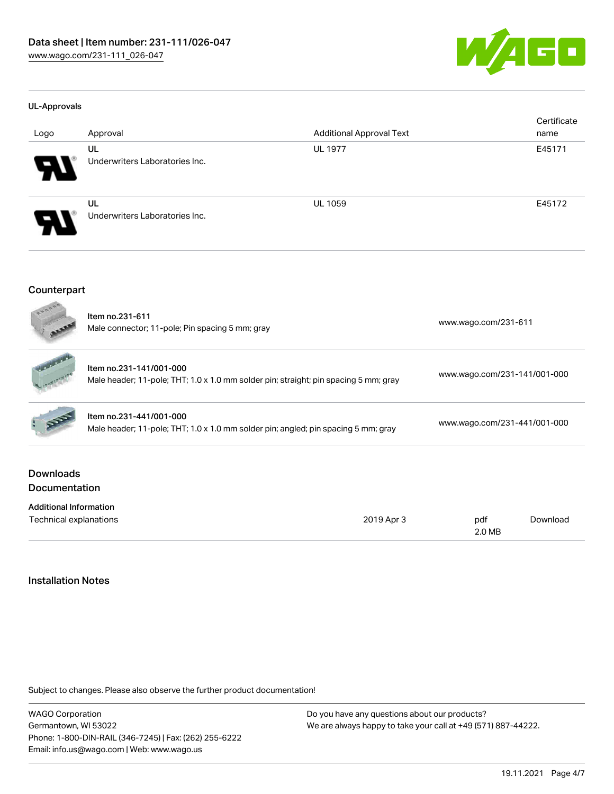

#### UL-Approvals

| Logo                  | Approval                             | <b>Additional Approval Text</b> | Certificate<br>name |
|-----------------------|--------------------------------------|---------------------------------|---------------------|
|                       | UL                                   | <b>UL 1977</b>                  | E45171              |
| $\boldsymbol{P}$      | Underwriters Laboratories Inc.       |                                 |                     |
| $\boldsymbol{\theta}$ | UL<br>Underwriters Laboratories Inc. | <b>UL 1059</b>                  | E45172              |

### Counterpart

| BOONS                                    | Item no.231-611<br>Male connector; 11-pole; Pin spacing 5 mm; gray                                              |            |                              | www.wago.com/231-611 |  |  |
|------------------------------------------|-----------------------------------------------------------------------------------------------------------------|------------|------------------------------|----------------------|--|--|
|                                          | Item no.231-141/001-000<br>Male header; 11-pole; THT; 1.0 x 1.0 mm solder pin; straight; pin spacing 5 mm; gray |            | www.wago.com/231-141/001-000 |                      |  |  |
|                                          | Item no.231-441/001-000<br>Male header; 11-pole; THT; 1.0 x 1.0 mm solder pin; angled; pin spacing 5 mm; gray   |            | www.wago.com/231-441/001-000 |                      |  |  |
| <b>Downloads</b><br><b>Documentation</b> |                                                                                                                 |            |                              |                      |  |  |
| <b>Additional Information</b>            |                                                                                                                 |            |                              |                      |  |  |
| Technical explanations                   |                                                                                                                 | 2019 Apr 3 | pdf<br>2.0 MB                | Download             |  |  |

## Installation Notes

Subject to changes. Please also observe the further product documentation!

WAGO Corporation Germantown, WI 53022 Phone: 1-800-DIN-RAIL (346-7245) | Fax: (262) 255-6222 Email: info.us@wago.com | Web: www.wago.us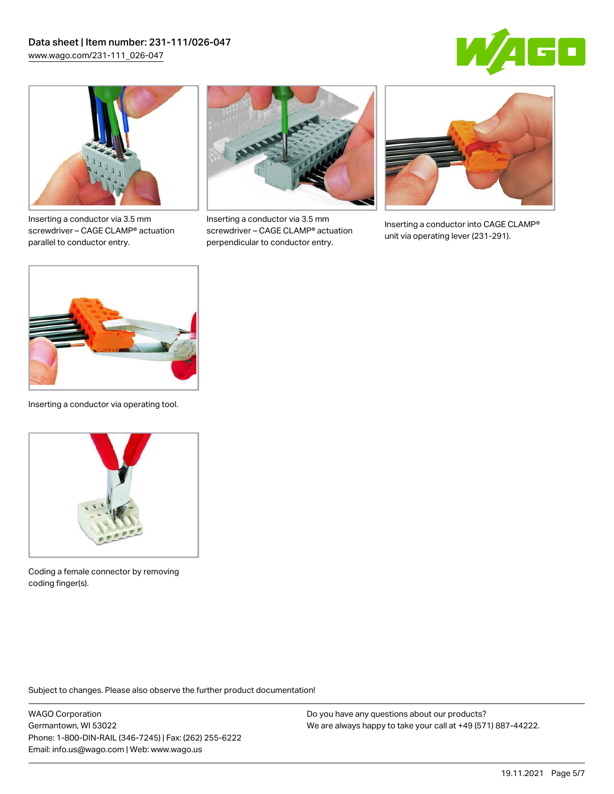



Inserting a conductor via 3.5 mm screwdriver – CAGE CLAMP® actuation parallel to conductor entry.



Inserting a conductor via 3.5 mm screwdriver – CAGE CLAMP® actuation perpendicular to conductor entry.



Inserting a conductor into CAGE CLAMP® unit via operating lever (231-291).



Inserting a conductor via operating tool.



Coding a female connector by removing coding finger(s).

Subject to changes. Please also observe the further product documentation!

WAGO Corporation Germantown, WI 53022 Phone: 1-800-DIN-RAIL (346-7245) | Fax: (262) 255-6222 Email: info.us@wago.com | Web: www.wago.us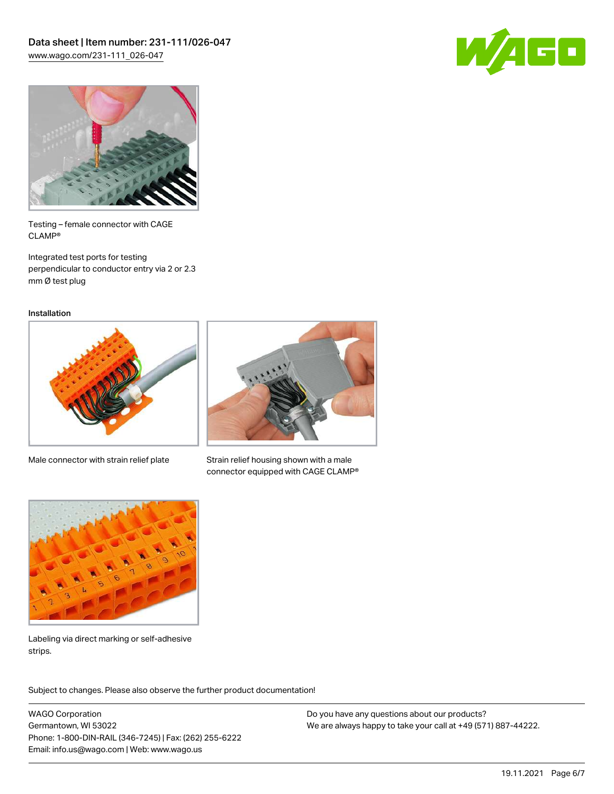



Testing – female connector with CAGE CLAMP®

Integrated test ports for testing perpendicular to conductor entry via 2 or 2.3 mm Ø test plug

Installation



Male connector with strain relief plate



Strain relief housing shown with a male connector equipped with CAGE CLAMP®



Labeling via direct marking or self-adhesive strips.

Subject to changes. Please also observe the further product documentation! Product family

WAGO Corporation Germantown, WI 53022 Phone: 1-800-DIN-RAIL (346-7245) | Fax: (262) 255-6222 Email: info.us@wago.com | Web: www.wago.us